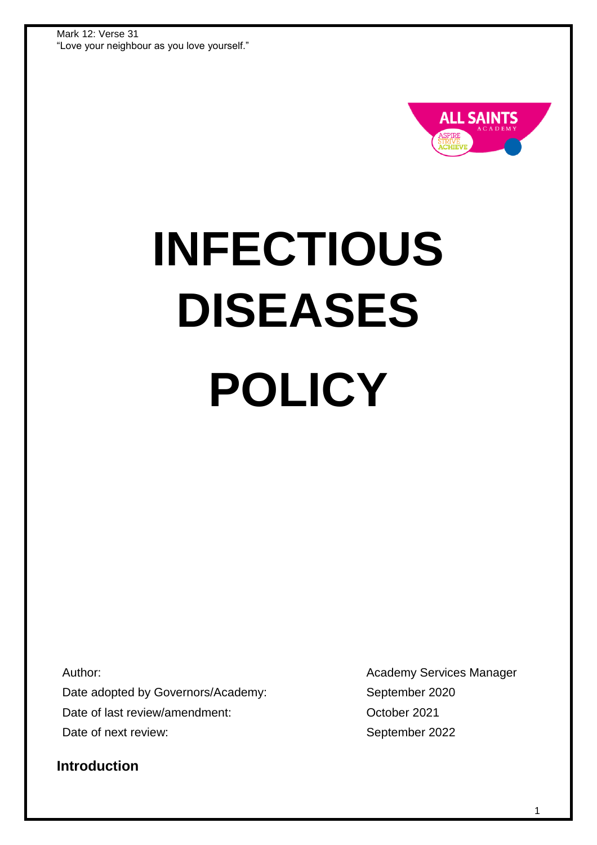

# **INFECTIOUS DISEASES POLICY**

Author:

Date adopted by Governors/Academy: Date of last review/amendment: Date of next review:

Academy Services Manager September 2020 October 2021 September 2022

**Introduction**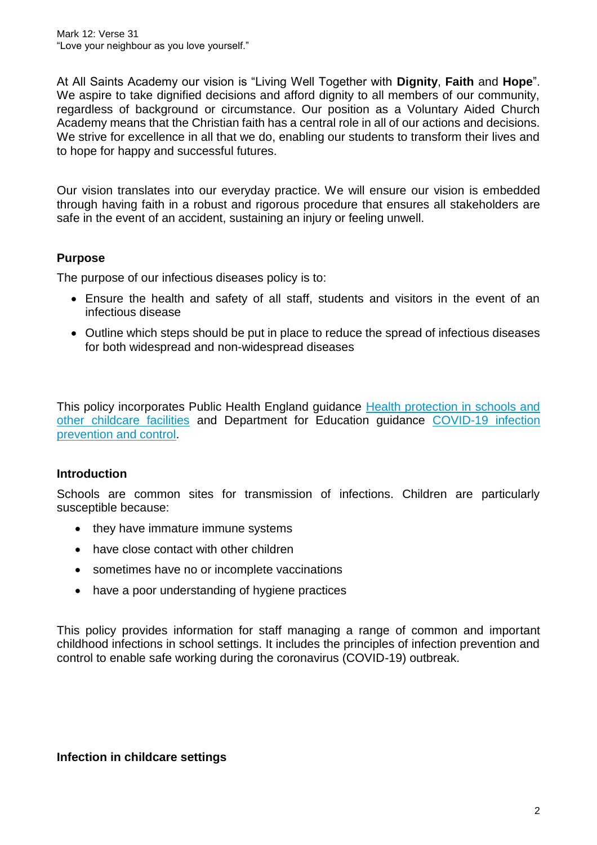At All Saints Academy our vision is "Living Well Together with **Dignity**, **Faith** and **Hope**". We aspire to take dignified decisions and afford dignity to all members of our community, regardless of background or circumstance. Our position as a Voluntary Aided Church Academy means that the Christian faith has a central role in all of our actions and decisions. We strive for excellence in all that we do, enabling our students to transform their lives and to hope for happy and successful futures.

Our vision translates into our everyday practice. We will ensure our vision is embedded through having faith in a robust and rigorous procedure that ensures all stakeholders are safe in the event of an accident, sustaining an injury or feeling unwell.

# **Purpose**

The purpose of our infectious diseases policy is to:

- Ensure the health and safety of all staff, students and visitors in the event of an infectious disease
- Outline which steps should be put in place to reduce the spread of infectious diseases for both widespread and non-widespread diseases

This policy incorporates Public Health England guidance Health protection in schools and [other childcare facilities](https://www.gov.uk/government/publications/health-protection-in-schools-and-other-childcare-facilities) and Department for Education guidance [COVID-19 infection](https://www.gov.uk/government/collections/guidance-for-schools-coronavirus-covid-19#covid-19-infection-prevention-and-control)  [prevention and control.](https://www.gov.uk/government/collections/guidance-for-schools-coronavirus-covid-19#covid-19-infection-prevention-and-control)

#### **Introduction**

Schools are common sites for transmission of infections. Children are particularly susceptible because:

- they have immature immune systems
- have close contact with other children
- sometimes have no or incomplete vaccinations
- have a poor understanding of hygiene practices

This policy provides information for staff managing a range of common and important childhood infections in school settings. It includes the principles of infection prevention and control to enable safe working during the coronavirus (COVID-19) outbreak.

**Infection in childcare settings**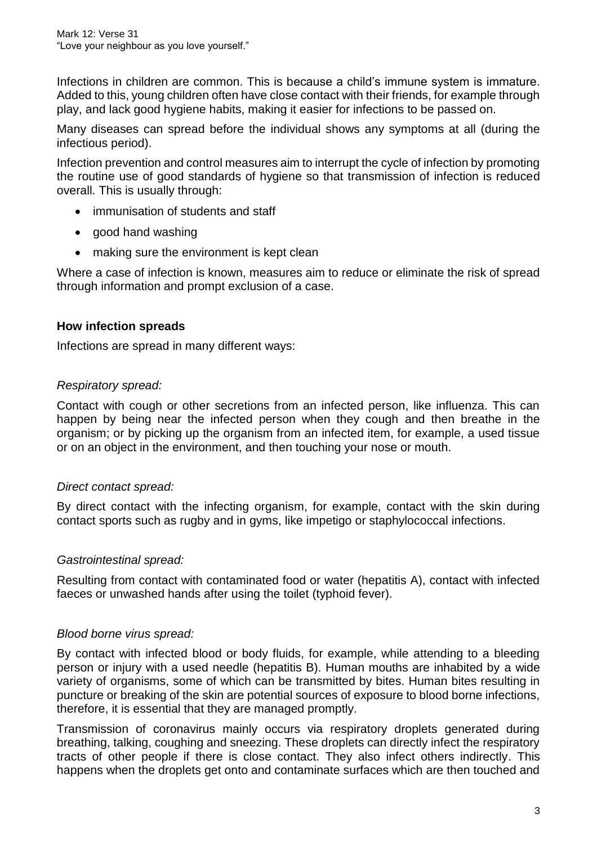Infections in children are common. This is because a child's immune system is immature. Added to this, young children often have close contact with their friends, for example through play, and lack good hygiene habits, making it easier for infections to be passed on.

Many diseases can spread before the individual shows any symptoms at all (during the infectious period).

Infection prevention and control measures aim to interrupt the cycle of infection by promoting the routine use of good standards of hygiene so that transmission of infection is reduced overall. This is usually through:

- immunisation of students and staff
- good hand washing
- making sure the environment is kept clean

Where a case of infection is known, measures aim to reduce or eliminate the risk of spread through information and prompt exclusion of a case.

## **How infection spreads**

Infections are spread in many different ways:

## *Respiratory spread:*

Contact with cough or other secretions from an infected person, like influenza. This can happen by being near the infected person when they cough and then breathe in the organism; or by picking up the organism from an infected item, for example, a used tissue or on an object in the environment, and then touching your nose or mouth.

#### *Direct contact spread:*

By direct contact with the infecting organism, for example, contact with the skin during contact sports such as rugby and in gyms, like impetigo or staphylococcal infections.

#### *Gastrointestinal spread:*

Resulting from contact with contaminated food or water (hepatitis A), contact with infected faeces or unwashed hands after using the toilet (typhoid fever).

#### *Blood borne virus spread:*

By contact with infected blood or body fluids, for example, while attending to a bleeding person or injury with a used needle (hepatitis B). Human mouths are inhabited by a wide variety of organisms, some of which can be transmitted by bites. Human bites resulting in puncture or breaking of the skin are potential sources of exposure to blood borne infections, therefore, it is essential that they are managed promptly.

Transmission of coronavirus mainly occurs via respiratory droplets generated during breathing, talking, coughing and sneezing. These droplets can directly infect the respiratory tracts of other people if there is close contact. They also infect others indirectly. This happens when the droplets get onto and contaminate surfaces which are then touched and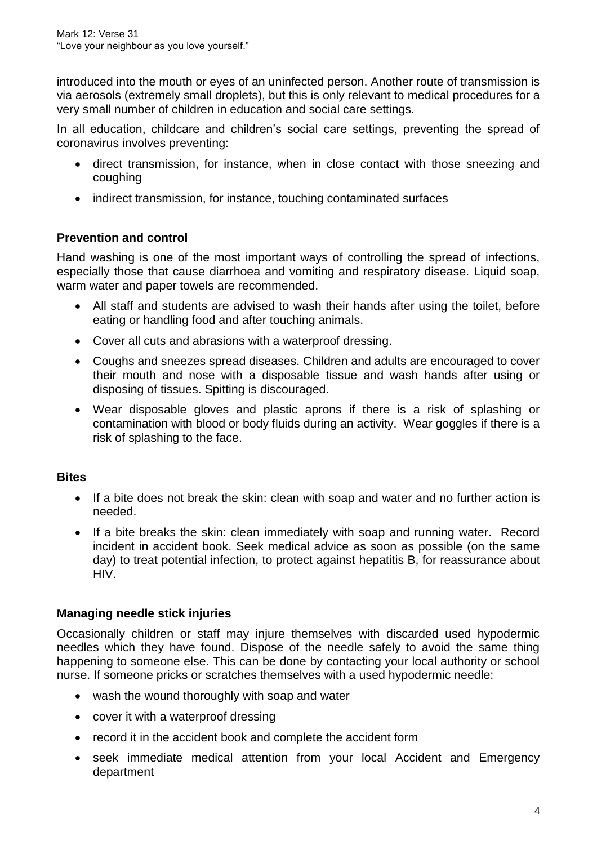introduced into the mouth or eyes of an uninfected person. Another route of transmission is via aerosols (extremely small droplets), but this is only relevant to medical procedures for a very small number of children in education and social care settings.

In all education, childcare and children's social care settings, preventing the spread of coronavirus involves preventing:

- direct transmission, for instance, when in close contact with those sneezing and coughing
- indirect transmission, for instance, touching contaminated surfaces

# **Prevention and control**

Hand washing is one of the most important ways of controlling the spread of infections, especially those that cause diarrhoea and vomiting and respiratory disease. Liquid soap, warm water and paper towels are recommended.

- All staff and students are advised to wash their hands after using the toilet, before eating or handling food and after touching animals.
- Cover all cuts and abrasions with a waterproof dressing.
- Coughs and sneezes spread diseases. Children and adults are encouraged to cover their mouth and nose with a disposable tissue and wash hands after using or disposing of tissues. Spitting is discouraged.
- Wear disposable gloves and plastic aprons if there is a risk of splashing or contamination with blood or body fluids during an activity. Wear goggles if there is a risk of splashing to the face.

# **Bites**

- If a bite does not break the skin: clean with soap and water and no further action is needed.
- If a bite breaks the skin: clean immediately with soap and running water. Record incident in accident book. Seek medical advice as soon as possible (on the same day) to treat potential infection, to protect against hepatitis B, for reassurance about HIV.

# **Managing needle stick injuries**

Occasionally children or staff may injure themselves with discarded used hypodermic needles which they have found. Dispose of the needle safely to avoid the same thing happening to someone else. This can be done by contacting your local authority or school nurse. If someone pricks or scratches themselves with a used hypodermic needle:

- wash the wound thoroughly with soap and water
- cover it with a waterproof dressing
- record it in the accident book and complete the accident form
- seek immediate medical attention from your local Accident and Emergency department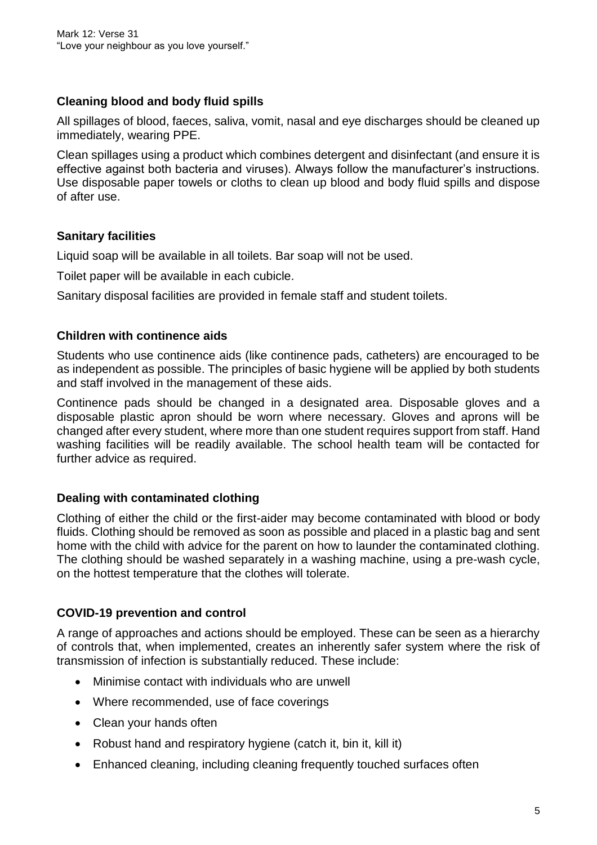# **Cleaning blood and body fluid spills**

All spillages of blood, faeces, saliva, vomit, nasal and eye discharges should be cleaned up immediately, wearing PPE.

Clean spillages using a product which combines detergent and disinfectant (and ensure it is effective against both bacteria and viruses). Always follow the manufacturer's instructions. Use disposable paper towels or cloths to clean up blood and body fluid spills and dispose of after use.

# **Sanitary facilities**

Liquid soap will be available in all toilets. Bar soap will not be used.

Toilet paper will be available in each cubicle.

Sanitary disposal facilities are provided in female staff and student toilets.

# **Children with continence aids**

Students who use continence aids (like continence pads, catheters) are encouraged to be as independent as possible. The principles of basic hygiene will be applied by both students and staff involved in the management of these aids.

Continence pads should be changed in a designated area. Disposable gloves and a disposable plastic apron should be worn where necessary. Gloves and aprons will be changed after every student, where more than one student requires support from staff. Hand washing facilities will be readily available. The school health team will be contacted for further advice as required.

# **Dealing with contaminated clothing**

Clothing of either the child or the first-aider may become contaminated with blood or body fluids. Clothing should be removed as soon as possible and placed in a plastic bag and sent home with the child with advice for the parent on how to launder the contaminated clothing. The clothing should be washed separately in a washing machine, using a pre-wash cycle, on the hottest temperature that the clothes will tolerate.

# **COVID-19 prevention and control**

A range of approaches and actions should be employed. These can be seen as a hierarchy of controls that, when implemented, creates an inherently safer system where the risk of transmission of infection is substantially reduced. These include:

- Minimise contact with individuals who are unwell
- Where recommended, use of face coverings
- Clean your hands often
- Robust hand and respiratory hygiene (catch it, bin it, kill it)
- Enhanced cleaning, including cleaning frequently touched surfaces often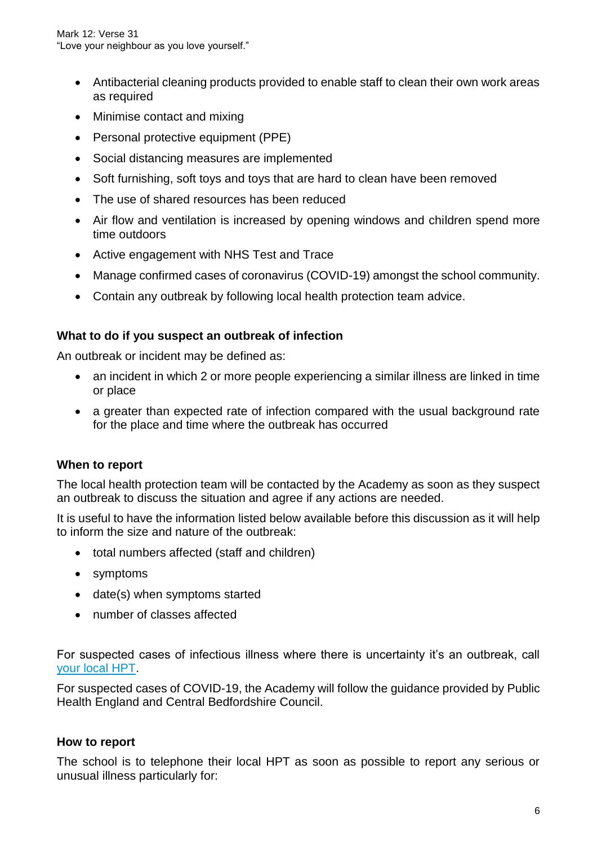Mark 12: Verse 31 "Love your neighbour as you love yourself."

- Antibacterial cleaning products provided to enable staff to clean their own work areas as required
- Minimise contact and mixing
- Personal protective equipment (PPE)
- Social distancing measures are implemented
- Soft furnishing, soft toys and toys that are hard to clean have been removed
- The use of shared resources has been reduced
- Air flow and ventilation is increased by opening windows and children spend more time outdoors
- Active engagement with NHS Test and Trace
- Manage confirmed cases of coronavirus (COVID-19) amongst the school community.
- Contain any outbreak by following local health protection team advice.

#### **What to do if you suspect an outbreak of infection**

An outbreak or incident may be defined as:

- an incident in which 2 or more people experiencing a similar illness are linked in time or place
- a greater than expected rate of infection compared with the usual background rate for the place and time where the outbreak has occurred

#### **When to report**

The local health protection team will be contacted by the Academy as soon as they suspect an outbreak to discuss the situation and agree if any actions are needed.

It is useful to have the information listed below available before this discussion as it will help to inform the size and nature of the outbreak:

- total numbers affected (staff and children)
- symptoms
- date(s) when symptoms started
- number of classes affected

For suspected cases of infectious illness where there is uncertainty it's an outbreak, call [your local HPT.](https://www.gov.uk/health-protection-team)

For suspected cases of COVID-19, the Academy will follow the guidance provided by Public Health England and Central Bedfordshire Council.

#### **How to report**

The school is to telephone their local HPT as soon as possible to report any serious or unusual illness particularly for: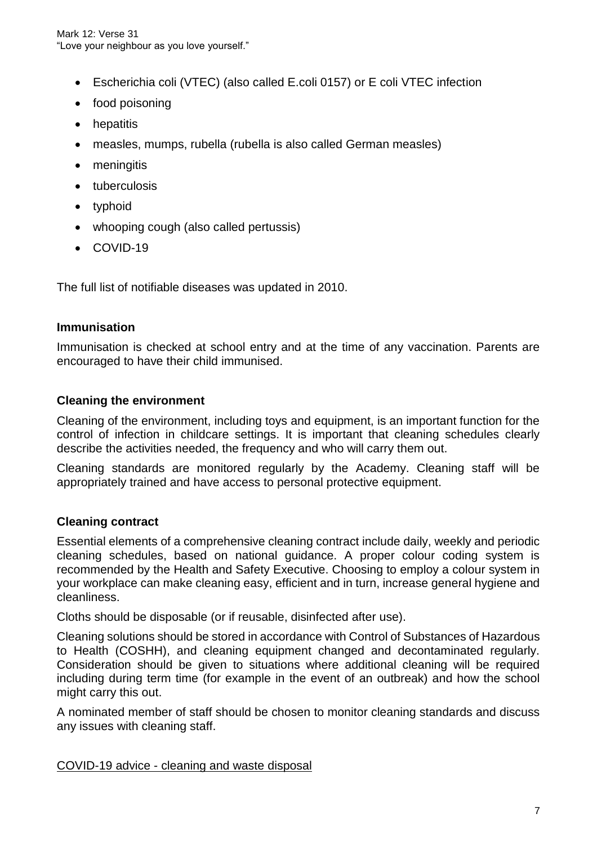- Escherichia coli (VTEC) (also called E.coli 0157) or E coli VTEC infection
- food poisoning
- hepatitis
- measles, mumps, rubella (rubella is also called German measles)
- meningitis
- tuberculosis
- typhoid
- whooping cough (also called pertussis)
- COVID-19

The full list of notifiable diseases was updated in 2010.

#### **Immunisation**

Immunisation is checked at school entry and at the time of any vaccination. Parents are encouraged to have their child immunised.

#### **Cleaning the environment**

Cleaning of the environment, including toys and equipment, is an important function for the control of infection in childcare settings. It is important that cleaning schedules clearly describe the activities needed, the frequency and who will carry them out.

Cleaning standards are monitored regularly by the Academy. Cleaning staff will be appropriately trained and have access to personal protective equipment.

#### **Cleaning contract**

Essential elements of a comprehensive cleaning contract include daily, weekly and periodic cleaning schedules, based on national guidance. A proper colour coding system is recommended by the Health and Safety Executive. Choosing to employ a colour system in your workplace can make cleaning easy, efficient and in turn, increase general hygiene and cleanliness.

Cloths should be disposable (or if reusable, disinfected after use).

Cleaning solutions should be stored in accordance with Control of Substances of Hazardous to Health (COSHH), and cleaning equipment changed and decontaminated regularly. Consideration should be given to situations where additional cleaning will be required including during term time (for example in the event of an outbreak) and how the school might carry this out.

A nominated member of staff should be chosen to monitor cleaning standards and discuss any issues with cleaning staff.

COVID-19 advice - cleaning and waste disposal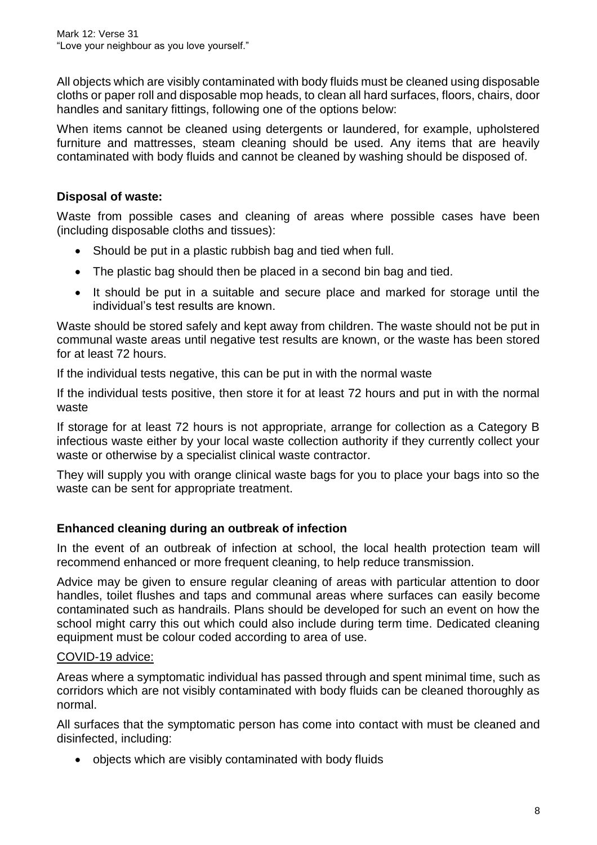All objects which are visibly contaminated with body fluids must be cleaned using disposable cloths or paper roll and disposable mop heads, to clean all hard surfaces, floors, chairs, door handles and sanitary fittings, following one of the options below:

When items cannot be cleaned using detergents or laundered, for example, upholstered furniture and mattresses, steam cleaning should be used. Any items that are heavily contaminated with body fluids and cannot be cleaned by washing should be disposed of.

# **Disposal of waste:**

Waste from possible cases and cleaning of areas where possible cases have been (including disposable cloths and tissues):

- Should be put in a plastic rubbish bag and tied when full.
- The plastic bag should then be placed in a second bin bag and tied.
- It should be put in a suitable and secure place and marked for storage until the individual's test results are known.

Waste should be stored safely and kept away from children. The waste should not be put in communal waste areas until negative test results are known, or the waste has been stored for at least 72 hours.

If the individual tests negative, this can be put in with the normal waste

If the individual tests positive, then store it for at least 72 hours and put in with the normal waste

If storage for at least 72 hours is not appropriate, arrange for collection as a Category B infectious waste either by your local waste collection authority if they currently collect your waste or otherwise by a specialist clinical waste contractor.

They will supply you with orange clinical waste bags for you to place your bags into so the waste can be sent for appropriate treatment.

# **Enhanced cleaning during an outbreak of infection**

In the event of an outbreak of infection at school, the local health protection team will recommend enhanced or more frequent cleaning, to help reduce transmission.

Advice may be given to ensure regular cleaning of areas with particular attention to door handles, toilet flushes and taps and communal areas where surfaces can easily become contaminated such as handrails. Plans should be developed for such an event on how the school might carry this out which could also include during term time. Dedicated cleaning equipment must be colour coded according to area of use.

# COVID-19 advice:

Areas where a symptomatic individual has passed through and spent minimal time, such as corridors which are not visibly contaminated with body fluids can be cleaned thoroughly as normal.

All surfaces that the symptomatic person has come into contact with must be cleaned and disinfected, including:

objects which are visibly contaminated with body fluids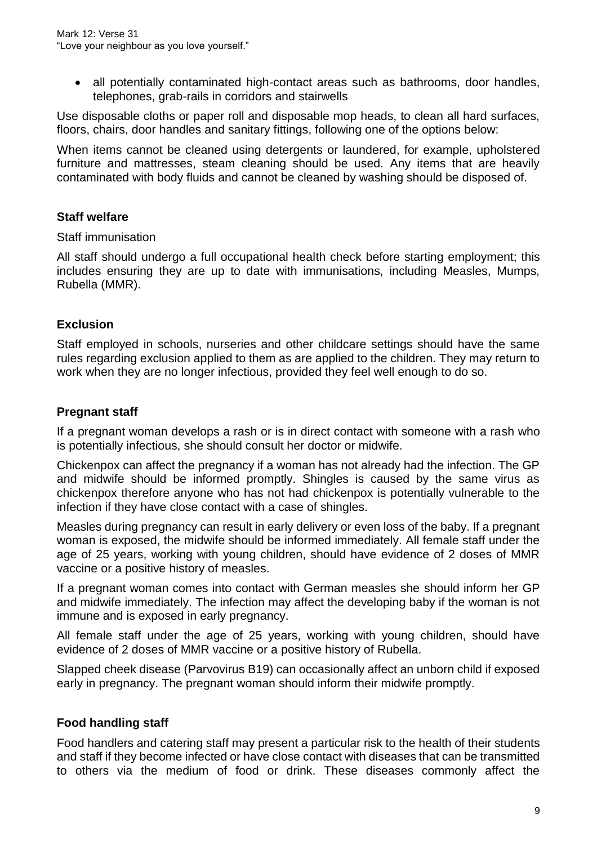• all potentially contaminated high-contact areas such as bathrooms, door handles, telephones, grab-rails in corridors and stairwells

Use disposable cloths or paper roll and disposable mop heads, to clean all hard surfaces, floors, chairs, door handles and sanitary fittings, following one of the options below:

When items cannot be cleaned using detergents or laundered, for example, upholstered furniture and mattresses, steam cleaning should be used. Any items that are heavily contaminated with body fluids and cannot be cleaned by washing should be disposed of.

# **Staff welfare**

#### Staff immunisation

All staff should undergo a full occupational health check before starting employment; this includes ensuring they are up to date with immunisations, including Measles, Mumps, Rubella (MMR).

## **Exclusion**

Staff employed in schools, nurseries and other childcare settings should have the same rules regarding exclusion applied to them as are applied to the children. They may return to work when they are no longer infectious, provided they feel well enough to do so.

#### **Pregnant staff**

If a pregnant woman develops a rash or is in direct contact with someone with a rash who is potentially infectious, she should consult her doctor or midwife.

Chickenpox can affect the pregnancy if a woman has not already had the infection. The GP and midwife should be informed promptly. Shingles is caused by the same virus as chickenpox therefore anyone who has not had chickenpox is potentially vulnerable to the infection if they have close contact with a case of shingles.

Measles during pregnancy can result in early delivery or even loss of the baby. If a pregnant woman is exposed, the midwife should be informed immediately. All female staff under the age of 25 years, working with young children, should have evidence of 2 doses of MMR vaccine or a positive history of measles.

If a pregnant woman comes into contact with German measles she should inform her GP and midwife immediately. The infection may affect the developing baby if the woman is not immune and is exposed in early pregnancy.

All female staff under the age of 25 years, working with young children, should have evidence of 2 doses of MMR vaccine or a positive history of Rubella.

Slapped cheek disease (Parvovirus B19) can occasionally affect an unborn child if exposed early in pregnancy. The pregnant woman should inform their midwife promptly.

# **Food handling staff**

Food handlers and catering staff may present a particular risk to the health of their students and staff if they become infected or have close contact with diseases that can be transmitted to others via the medium of food or drink. These diseases commonly affect the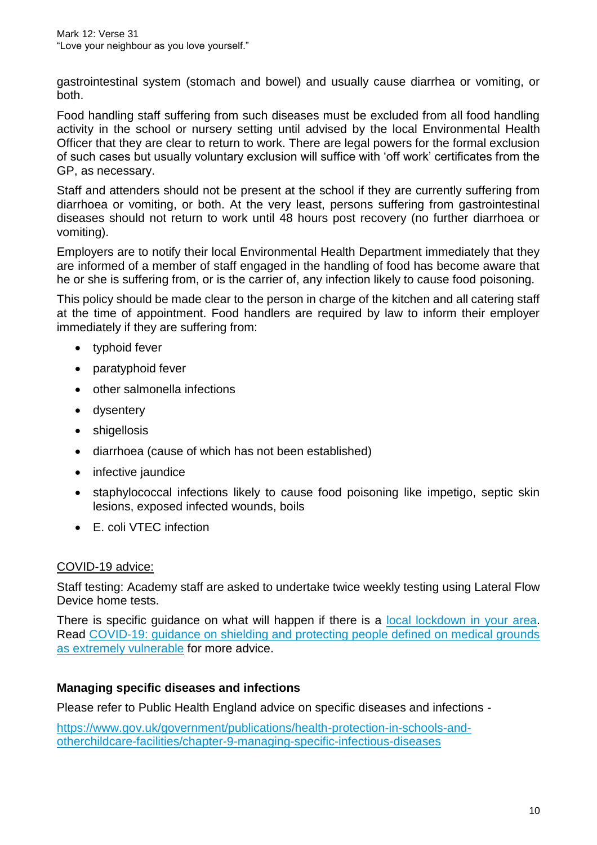gastrointestinal system (stomach and bowel) and usually cause diarrhea or vomiting, or both.

Food handling staff suffering from such diseases must be excluded from all food handling activity in the school or nursery setting until advised by the local Environmental Health Officer that they are clear to return to work. There are legal powers for the formal exclusion of such cases but usually voluntary exclusion will suffice with 'off work' certificates from the GP, as necessary.

Staff and attenders should not be present at the school if they are currently suffering from diarrhoea or vomiting, or both. At the very least, persons suffering from gastrointestinal diseases should not return to work until 48 hours post recovery (no further diarrhoea or vomiting).

Employers are to notify their local Environmental Health Department immediately that they are informed of a member of staff engaged in the handling of food has become aware that he or she is suffering from, or is the carrier of, any infection likely to cause food poisoning.

This policy should be made clear to the person in charge of the kitchen and all catering staff at the time of appointment. Food handlers are required by law to inform their employer immediately if they are suffering from:

- typhoid fever
- paratyphoid fever
- other salmonella infections
- dysentery
- shigellosis
- diarrhoea (cause of which has not been established)
- infective jaundice
- staphylococcal infections likely to cause food poisoning like impetigo, septic skin lesions, exposed infected wounds, boils
- E. coli VTEC infection

# COVID-19 advice:

Staff testing: Academy staff are asked to undertake twice weekly testing using Lateral Flow Device home tests.

There is specific guidance on what will happen if there is a [local lockdown in your area.](https://www.gov.uk/government/collections/local-restrictions-areas-with-an-outbreak-of-coronavirus-covid-19) Read [COVID-19: guidance on shielding and protecting people defined on medical grounds](https://www.gov.uk/government/publications/guidance-on-shielding-and-protecting-extremely-vulnerable-persons-from-covid-19)  [as extremely vulnerable](https://www.gov.uk/government/publications/guidance-on-shielding-and-protecting-extremely-vulnerable-persons-from-covid-19) for more advice.

# **Managing specific diseases and infections**

Please refer to Public Health England advice on specific diseases and infections -

[https://www.gov.uk/government/publications/health-protection-in-schools-and](https://www.gov.uk/government/publications/health-protection-in-schools-and-other-childcare-facilities/chapter-9-managing-specific-infectious-diseases)[otherchildcare-facilities/chapter-9-managing-specific-infectious-diseases](https://www.gov.uk/government/publications/health-protection-in-schools-and-other-childcare-facilities/chapter-9-managing-specific-infectious-diseases)